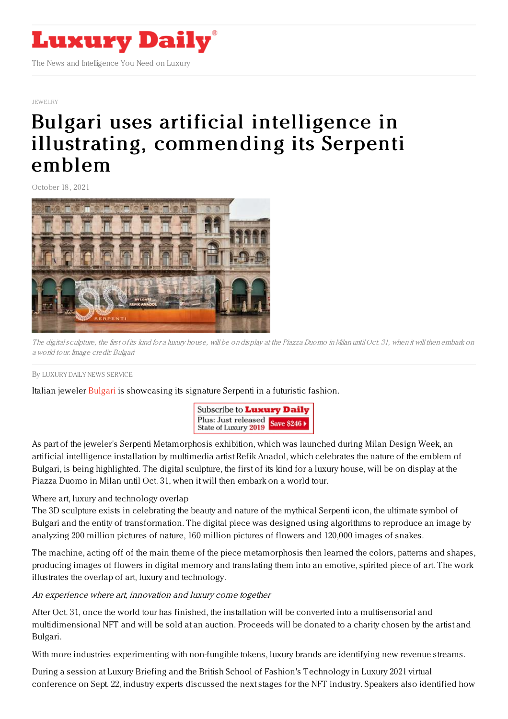

### [JEWELRY](https://www.luxurydaily.com/category/sectors/jewelry/)

# Bulgari uses artificial intelligence in illustrating, [commending](https://www.luxurydaily.com/?p=338716) its Serpenti emblem

October 18, 2021



The digitalsculpture, the first of its kind for <sup>a</sup> luxury house, will be on display at the Piazza Duomo inMilan until Oct. 31, when it will then embark on <sup>a</sup> world tour. Image credit: Bulgari

### By LUXURY DAILY NEWS [SERVICE](file:///author/luxury-daily-news-service)

Italian jeweler [Bulgari](https://www.bulgari.com/en-us/) is showcasing its signature Serpenti in a futuristic fashion.



As part of the jeweler's Serpenti Metamorphosis exhibition, which was launched during Milan Design Week, an artificial intelligence installation by multimedia artist Refik Anadol, which celebrates the nature of the emblem of Bulgari, is being highlighted. The digital sculpture, the first of its kind for a luxury house, will be on display at the Piazza Duomo in Milan until Oct. 31, when it will then embark on a world tour.

# Where art, luxury and technology overlap

The 3D sculpture exists in celebrating the beauty and nature of the mythical Serpenti icon, the ultimate symbol of Bulgari and the entity of transformation. The digital piece was designed using algorithms to reproduce an image by analyzing 200 million pictures of nature, 160 million pictures of flowers and 120,000 images of snakes.

The machine, acting off of the main theme of the piece metamorphosis then learned the colors, patterns and shapes, producing images of flowers in digital memory and translating them into an emotive, spirited piece of art. The work illustrates the overlap of art, luxury and technology.

# An experience where art, innovation and luxury come together

After Oct. 31, once the world tour has finished, the installation will be converted into a multisensorial and multidimensional NFT and will be sold at an auction. Proceeds will be donated to a charity chosen by the artist and Bulgari.

With more industries experimenting with non-fungible tokens, luxury brands are identifying new revenue streams.

During a session at Luxury Briefing and the British School of Fashion's Technology in Luxury 2021 virtual conference on Sept. 22, industry experts discussed the next stages for the NFT industry. Speakers also identified how